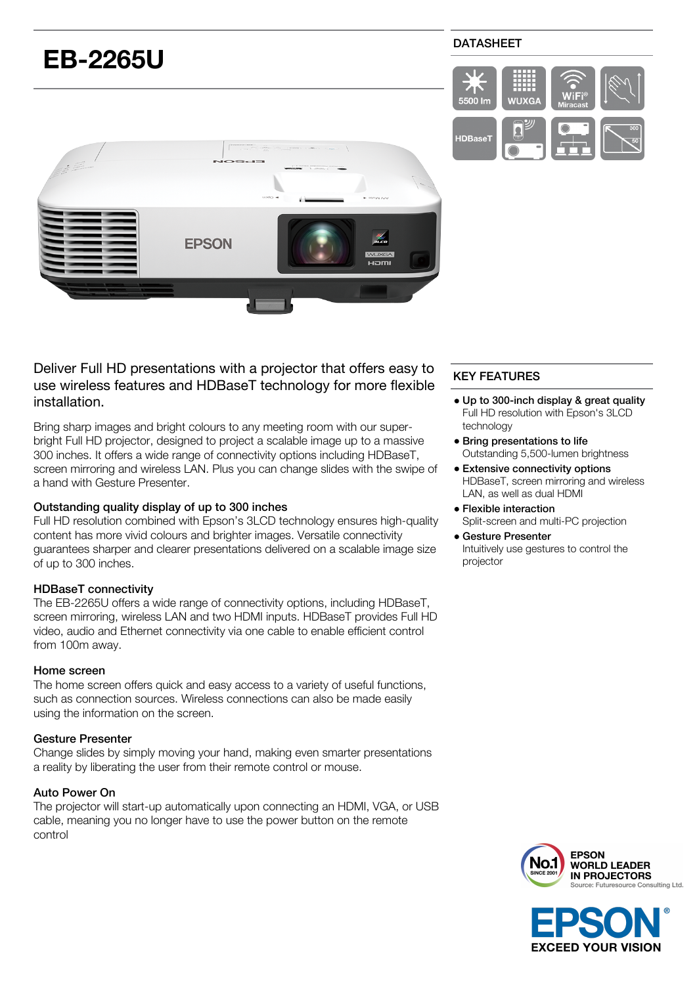

# Deliver Full HD presentations with a projector that offers easy to use wireless features and HDBaseT technology for more flexible installation.

Bring sharp images and bright colours to any meeting room with our superbright Full HD projector, designed to project a scalable image up to a massive 300 inches. It offers a wide range of connectivity options including HDBaseT, screen mirroring and wireless LAN. Plus you can change slides with the swipe of a hand with Gesture Presenter.

## Outstanding quality display of up to 300 inches

Full HD resolution combined with Epson's 3LCD technology ensures high-quality content has more vivid colours and brighter images. Versatile connectivity guarantees sharper and clearer presentations delivered on a scalable image size of up to 300 inches.

## HDBaseT connectivity

The EB-2265U offers a wide range of connectivity options, including HDBaseT, screen mirroring, wireless LAN and two HDMI inputs. HDBaseT provides Full HD video, audio and Ethernet connectivity via one cable to enable efficient control from 100m away.

## Home screen

The home screen offers quick and easy access to a variety of useful functions, such as connection sources. Wireless connections can also be made easily using the information on the screen.

# Gesture Presenter

Change slides by simply moving your hand, making even smarter presentations a reality by liberating the user from their remote control or mouse.

# Auto Power On

The projector will start-up automatically upon connecting an HDMI, VGA, or USB cable, meaning you no longer have to use the power button on the remote control

# KEY FEATURES

- Up to 300-inch display & great quality Full HD resolution with Epson's 3LCD technology
- Bring presentations to life Outstanding 5,500-lumen brightness
- Extensive connectivity options HDBaseT, screen mirroring and wireless LAN, as well as dual HDMI
- Flexible interaction Split-screen and multi-PC projection
- Gesture Presenter Intuitively use gestures to control the projector





## DATASHEET

5500 lm

**HDRase** 

**WIIXG**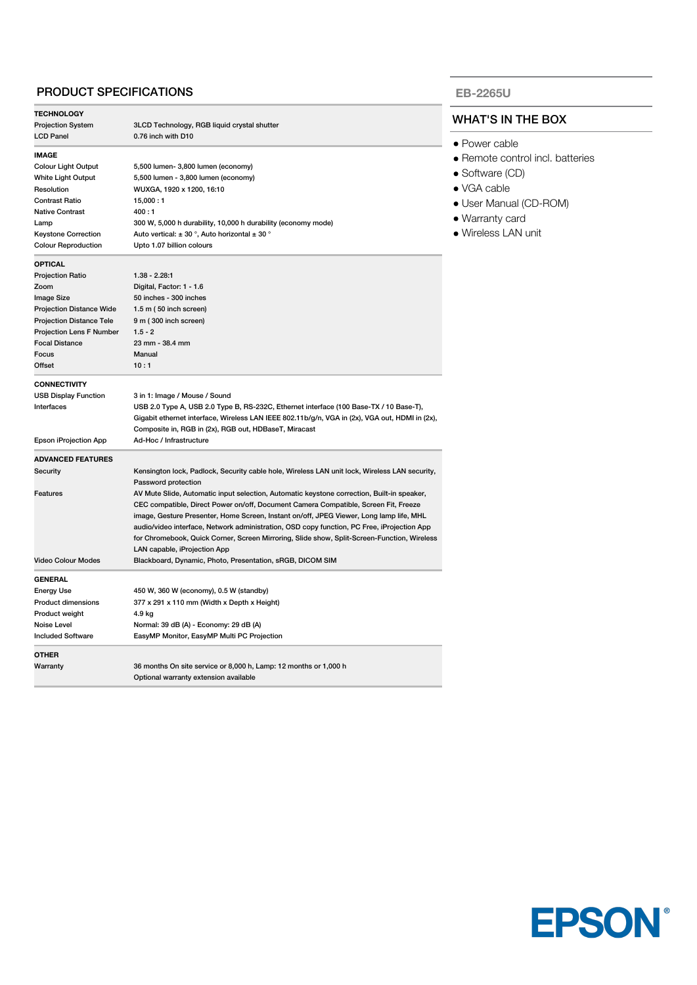## PRODUCT SPECIFICATIONS

| <b>TECHNOLOGY</b>               |                                                                                                |  |
|---------------------------------|------------------------------------------------------------------------------------------------|--|
| <b>Projection System</b>        | 3LCD Technology, RGB liquid crystal shutter                                                    |  |
| <b>LCD Panel</b>                | 0.76 inch with D10                                                                             |  |
| <b>IMAGE</b>                    |                                                                                                |  |
| <b>Colour Light Output</b>      | 5,500 lumen- 3,800 lumen (economy)                                                             |  |
| White Light Output              | 5,500 lumen - 3,800 lumen (economy)                                                            |  |
| Resolution                      | WUXGA, 1920 x 1200, 16:10                                                                      |  |
| <b>Contrast Ratio</b>           | 15,000:1                                                                                       |  |
| <b>Native Contrast</b>          | 400:1                                                                                          |  |
| Lamp                            | 300 W, 5,000 h durability, 10,000 h durability (economy mode)                                  |  |
| <b>Keystone Correction</b>      | Auto vertical: $\pm$ 30 °, Auto horizontal $\pm$ 30 °                                          |  |
| <b>Colour Reproduction</b>      | Upto 1.07 billion colours                                                                      |  |
| <b>OPTICAL</b>                  |                                                                                                |  |
| <b>Projection Ratio</b>         | 1.38 - 2.28.1                                                                                  |  |
| Zoom                            | Digital, Factor: 1 - 1.6                                                                       |  |
| Image Size                      | 50 inches - 300 inches                                                                         |  |
| <b>Projection Distance Wide</b> | 1.5 m (50 inch screen)                                                                         |  |
| <b>Projection Distance Tele</b> | 9 m (300 inch screen)                                                                          |  |
| Projection Lens F Number        | $1.5 - 2$                                                                                      |  |
| <b>Focal Distance</b>           | 23 mm - 38.4 mm                                                                                |  |
| Focus                           | Manual                                                                                         |  |
| Offset                          | 10:1                                                                                           |  |
| <b>CONNECTIVITY</b>             |                                                                                                |  |
| <b>USB Display Function</b>     | 3 in 1: Image / Mouse / Sound                                                                  |  |
| Interfaces                      | USB 2.0 Type A, USB 2.0 Type B, RS-232C, Ethernet interface (100 Base-TX / 10 Base-T),         |  |
|                                 | Gigabit ethernet interface, Wireless LAN IEEE 802.11b/g/n, VGA in (2x), VGA out, HDMI in (2x), |  |
|                                 | Composite in, RGB in (2x), RGB out, HDBaseT, Miracast                                          |  |
| Epson iProjection App           | Ad-Hoc / Infrastructure                                                                        |  |
| <b>ADVANCED FEATURES</b>        |                                                                                                |  |
| Security                        | Kensington lock, Padlock, Security cable hole, Wireless LAN unit lock, Wireless LAN security,  |  |
|                                 | Password protection                                                                            |  |
| Features                        | AV Mute Slide, Automatic input selection, Automatic keystone correction, Built-in speaker,     |  |
|                                 | CEC compatible, Direct Power on/off, Document Camera Compatible, Screen Fit, Freeze            |  |
|                                 | image, Gesture Presenter, Home Screen, Instant on/off, JPEG Viewer, Long lamp life, MHL        |  |
|                                 | audio/video interface, Network administration, OSD copy function, PC Free, iProjection App     |  |
|                                 | for Chromebook, Quick Corner, Screen Mirroring, Slide show, Split-Screen-Function, Wireless    |  |
|                                 | LAN capable, iProjection App                                                                   |  |
| <b>Video Colour Modes</b>       | Blackboard, Dynamic, Photo, Presentation, sRGB, DICOM SIM                                      |  |
| <b>GENERAL</b>                  |                                                                                                |  |
| <b>Energy Use</b>               | 450 W, 360 W (economy), 0.5 W (standby)                                                        |  |
| Product dimensions              | 377 x 291 x 110 mm (Width x Depth x Height)                                                    |  |
| Product weight                  | 4.9 kg                                                                                         |  |
| Noise Level                     | Normal: 39 dB (A) - Economy: 29 dB (A)                                                         |  |
| <b>Included Software</b>        | EasyMP Monitor, EasyMP Multi PC Projection                                                     |  |
| <b>OTHER</b>                    |                                                                                                |  |
| Warranty                        | 36 months On site service or 8,000 h, Lamp: 12 months or 1,000 h                               |  |
|                                 | Optional warranty extension available                                                          |  |

### **EB-2265U**

### WHAT'S IN THE BOX

- Power cable
- Remote control incl. batteries
- Software (CD)
- VGA cable
- User Manual (CD-ROM)
- Warranty card
- Wireless LAN unit